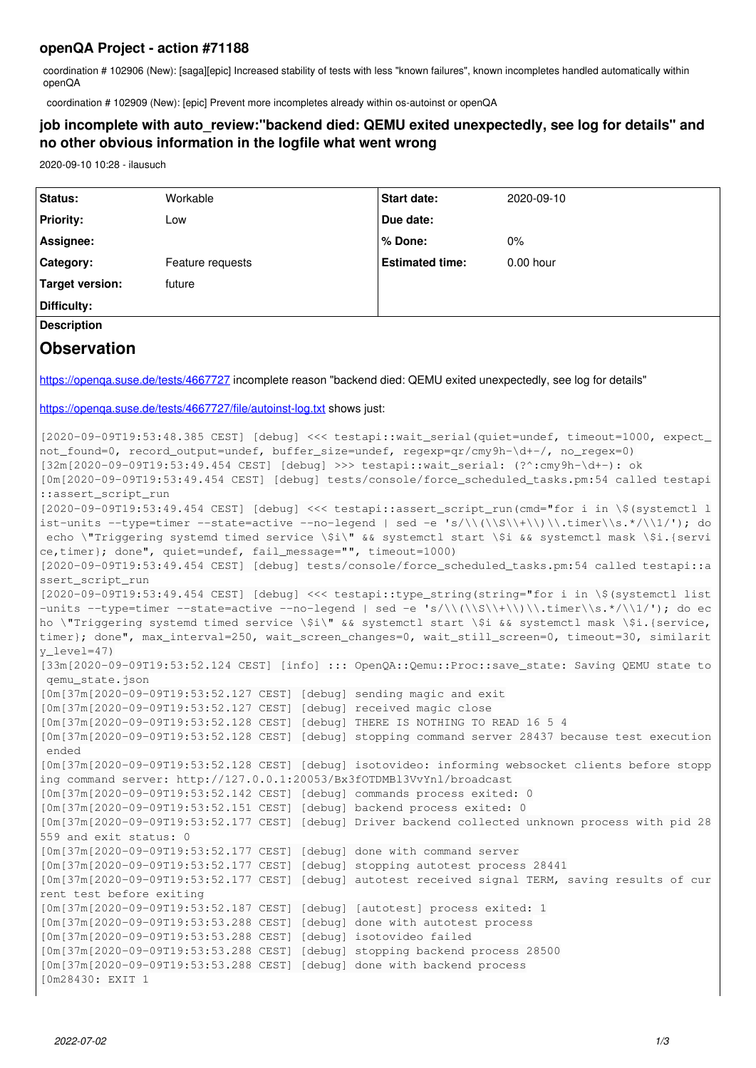### **openQA Project - action #71188**

coordination # 102906 (New): [saga][epic] Increased stability of tests with less "known failures", known incompletes handled automatically within openQA

coordination # 102909 (New): [epic] Prevent more incompletes already within os-autoinst or openQA

## **job incomplete with auto\_review:"backend died: QEMU exited unexpectedly, see log for details" and no other obvious information in the logfile what went wrong**

2020-09-10 10:28 - ilausuch

| Status:                                                                                                                                                                                                    | Workable                                                                                                                                        | Start date:            | 2020-09-10                                                                                         |
|------------------------------------------------------------------------------------------------------------------------------------------------------------------------------------------------------------|-------------------------------------------------------------------------------------------------------------------------------------------------|------------------------|----------------------------------------------------------------------------------------------------|
| <b>Priority:</b>                                                                                                                                                                                           | Low                                                                                                                                             | Due date:              |                                                                                                    |
| Assignee:                                                                                                                                                                                                  |                                                                                                                                                 | % Done:                | $0\%$                                                                                              |
| Category:                                                                                                                                                                                                  | Feature requests                                                                                                                                | <b>Estimated time:</b> | 0.00 hour                                                                                          |
| <b>Target version:</b>                                                                                                                                                                                     | future                                                                                                                                          |                        |                                                                                                    |
| Difficulty:                                                                                                                                                                                                |                                                                                                                                                 |                        |                                                                                                    |
| <b>Description</b>                                                                                                                                                                                         |                                                                                                                                                 |                        |                                                                                                    |
|                                                                                                                                                                                                            |                                                                                                                                                 |                        |                                                                                                    |
| <b>Observation</b>                                                                                                                                                                                         |                                                                                                                                                 |                        |                                                                                                    |
| https://openqa.suse.de/tests/4667727 incomplete reason "backend died: QEMU exited unexpectedly, see log for details"                                                                                       |                                                                                                                                                 |                        |                                                                                                    |
| https://openqa.suse.de/tests/4667727/file/autoinst-log.txt shows just:                                                                                                                                     |                                                                                                                                                 |                        |                                                                                                    |
|                                                                                                                                                                                                            |                                                                                                                                                 |                        |                                                                                                    |
| [2020-09-09T19:53:48.385 CEST] [debug] <<< testapi::wait_serial(quiet=undef, timeout=1000, expect_                                                                                                         |                                                                                                                                                 |                        |                                                                                                    |
| not_found=0, record_output=undef, buffer_size=undef, regexp=qr/cmy9h-\d+-/, no_regex=0)<br>[32m[2020-09-09T19:53:49.454 CEST] [debug] >>> testapi::wait_serial: (?^:cmy9h-\d+-): ok                        |                                                                                                                                                 |                        |                                                                                                    |
| [0m[2020-09-09T19:53:49.454 CEST] [debug] tests/console/force_scheduled_tasks.pm:54 called testapi                                                                                                         |                                                                                                                                                 |                        |                                                                                                    |
| ::assert_script_run                                                                                                                                                                                        |                                                                                                                                                 |                        |                                                                                                    |
| [2020-09-09T19:53:49.454 CEST] [debug] <<< testapi::assert_script_run(cmd="for i in \\$(systemctl l                                                                                                        |                                                                                                                                                 |                        |                                                                                                    |
| ist-units --type=timer --state=active --no-legend   sed -e 's/\\(\\S\\+\\)\\.timer\\s.*/\\1/'); do<br>echo \"Triggering systemd timed service \\$i\" && systemctl start \\$i && systemctl mask \\$i.{servi |                                                                                                                                                 |                        |                                                                                                    |
| ce, timer}; done", quiet=undef, fail_message="", timeout=1000)                                                                                                                                             |                                                                                                                                                 |                        |                                                                                                    |
| [2020-09-09T19:53:49.454 CEST] [debug] tests/console/force_scheduled_tasks.pm:54 called testapi::a                                                                                                         |                                                                                                                                                 |                        |                                                                                                    |
| ssert_script_run                                                                                                                                                                                           |                                                                                                                                                 |                        |                                                                                                    |
| [2020-09-09T19:53:49.454 CEST] [debug] <<< testapi::type_string(string="for i in \\$(systemctl list<br>-units --type=timer --state=active --no-legend   sed -e 's/\\(\\S\\+\\)\\.timer\\s.*/\\1/'); do ec  |                                                                                                                                                 |                        |                                                                                                    |
| ho \"Triggering systemd timed service \\$i\" && systemctl start \\$i && systemctl mask \\$i.{service,                                                                                                      |                                                                                                                                                 |                        |                                                                                                    |
| timer}; done", max_interval=250, wait_screen_changes=0, wait_still_screen=0, timeout=30, similarit                                                                                                         |                                                                                                                                                 |                        |                                                                                                    |
| $y$ <sup>1</sup> evel=47)<br>[33m [2020-09-09T19:53:52.124 CEST] [info] ::: OpenQA:: Qemu:: Proc:: save_state: Saving QEMU state to                                                                        |                                                                                                                                                 |                        |                                                                                                    |
| qemu_state.json                                                                                                                                                                                            |                                                                                                                                                 |                        |                                                                                                    |
|                                                                                                                                                                                                            | [0m [37m [2020-09-09T19:53:52.127 CEST] [debug] sending magic and exit                                                                          |                        |                                                                                                    |
|                                                                                                                                                                                                            | [0m[37m[2020-09-09T19:53:52.127 CEST] [debug] received magic close                                                                              |                        |                                                                                                    |
|                                                                                                                                                                                                            | [0m[37m[2020-09-09T19:53:52.128 CEST] [debug] THERE IS NOTHING TO READ 16 5 4                                                                   |                        |                                                                                                    |
| [0m[37m[2020-09-09T19:53:52.128 CEST] [debug] stopping command server 28437 because test execution<br>ended                                                                                                |                                                                                                                                                 |                        |                                                                                                    |
| [0m[37m[2020-09-09T19:53:52.128 CEST] [debug] isotovideo: informing websocket clients before stopp                                                                                                         |                                                                                                                                                 |                        |                                                                                                    |
| ing command server: http://127.0.0.1:20053/Bx3fOTDMBl3VvYnl/broadcast<br>[0m[37m[2020-09-09T19:53:52.142 CEST] [debug] commands process exited: 0                                                          |                                                                                                                                                 |                        |                                                                                                    |
|                                                                                                                                                                                                            | [0m[37m[2020-09-09T19:53:52.151 CEST] [debug] backend process exited: 0                                                                         |                        |                                                                                                    |
|                                                                                                                                                                                                            |                                                                                                                                                 |                        | [0m[37m[2020-09-09T19:53:52.177 CEST] [debug] Driver backend collected unknown process with pid 28 |
| 559 and exit status: 0                                                                                                                                                                                     |                                                                                                                                                 |                        |                                                                                                    |
|                                                                                                                                                                                                            | [0m [37m [2020-09-09T19:53:52.177 CEST] [debug] done with command server                                                                        |                        |                                                                                                    |
|                                                                                                                                                                                                            | [0m[37m[2020-09-09T19:53:52.177 CEST] [debug] stopping autotest process 28441                                                                   |                        |                                                                                                    |
| [0m[37m[2020-09-09T19:53:52.177 CEST] [debug] autotest received signal TERM, saving results of cur<br>rent test before exiting                                                                             |                                                                                                                                                 |                        |                                                                                                    |
|                                                                                                                                                                                                            | [0m[37m[2020-09-09T19:53:52.187 CEST] [debug] [autotest] process exited: 1                                                                      |                        |                                                                                                    |
|                                                                                                                                                                                                            | [0m[37m[2020-09-09T19:53:53.288 CEST] [debug] done with autotest process                                                                        |                        |                                                                                                    |
|                                                                                                                                                                                                            | [0m[37m[2020-09-09T19:53:53.288 CEST] [debug] isotovideo failed<br>[0m[37m[2020-09-09T19:53:53.288 CEST] [debug] stopping backend process 28500 |                        |                                                                                                    |
|                                                                                                                                                                                                            | [0m[37m[2020-09-09T19:53:53.288 CEST] [debug] done with backend process                                                                         |                        |                                                                                                    |
| [0m28430: EXIT 1                                                                                                                                                                                           |                                                                                                                                                 |                        |                                                                                                    |
|                                                                                                                                                                                                            |                                                                                                                                                 |                        |                                                                                                    |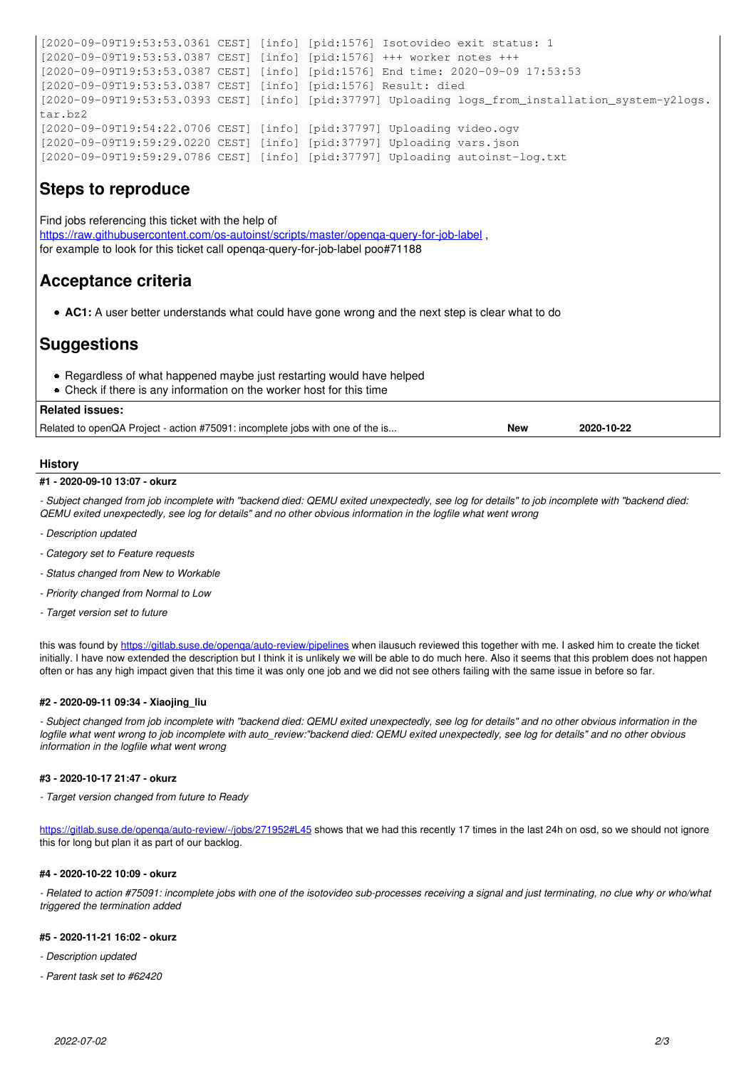```
[2020-09-09T19:53:53.0361 CEST] [info] [pid:1576] Isotovideo exit status: 1
[2020-09-09T19:53:53.0387 CEST] [info] [pid:1576] +++ worker notes +++
[2020-09-09T19:53:53.0387 CEST] [info] [pid:1576] End time: 2020-09-09 17:53:53
[2020-09-09T19:53:53.0387 CEST] [info] [pid:1576] Result: died
[2020-09-09T19:53:53.0393 CEST] [info] [pid:37797] Uploading logs_from_installation_system-y2logs.
tar.bz2
[2020-09-09T19:54:22.0706 CEST] [info] [pid:37797] Uploading video.ogv
[2020-09-09T19:59:29.0220 CEST] [info] [pid:37797] Uploading vars.json
[2020-09-09T19:59:29.0786 CEST] [info] [pid:37797] Uploading autoinst-log.txt
```
## **Steps to reproduce**

Find jobs referencing this ticket with the help of https://raw.githubusercontent.com/os-autoinst/scripts/master/openga-query-for-job-label for example to look for this ticket call openqa-query-for-job-label poo#71188

# **Acceptance criteria**

**AC1:** A user better understands what could have gone wrong and the next step is clear what to do

# **Suggestions**

- Regardless of what happened maybe just restarting would have helped
- Check if there is any information on the worker host for this time

### **Related issues:**

Related to openQA Project - action #75091: incomplete jobs with one of the is... **New 2020-10-22**

### **History**

#### **#1 - 2020-09-10 13:07 - okurz**

*- Subject changed from job incomplete with "backend died: QEMU exited unexpectedly, see log for details" to job incomplete with "backend died: QEMU exited unexpectedly, see log for details" and no other obvious information in the logfile what went wrong*

- *Description updated*
- *Category set to Feature requests*
- *Status changed from New to Workable*
- *Priority changed from Normal to Low*
- *Target version set to future*

this was found by<https://gitlab.suse.de/openqa/auto-review/pipelines>when ilausuch reviewed this together with me. I asked him to create the ticket initially. I have now extended the description but I think it is unlikely we will be able to do much here. Also it seems that this problem does not happen often or has any high impact given that this time it was only one job and we did not see others failing with the same issue in before so far.

#### **#2 - 2020-09-11 09:34 - Xiaojing\_liu**

*- Subject changed from job incomplete with "backend died: QEMU exited unexpectedly, see log for details" and no other obvious information in the logfile what went wrong to job incomplete with auto\_review:"backend died: QEMU exited unexpectedly, see log for details" and no other obvious information in the logfile what went wrong*

#### **#3 - 2020-10-17 21:47 - okurz**

*- Target version changed from future to Ready*

https://gitlab.suse.de/openga/auto-review/-/jobs/271952#L45 shows that we had this recently 17 times in the last 24h on osd, so we should not ignore this for long but plan it as part of our backlog.

#### **#4 - 2020-10-22 10:09 - okurz**

*- Related to action #75091: incomplete jobs with one of the isotovideo sub-processes receiving a signal and just terminating, no clue why or who/what triggered the termination added*

#### **#5 - 2020-11-21 16:02 - okurz**

- *Description updated*
- *Parent task set to #62420*